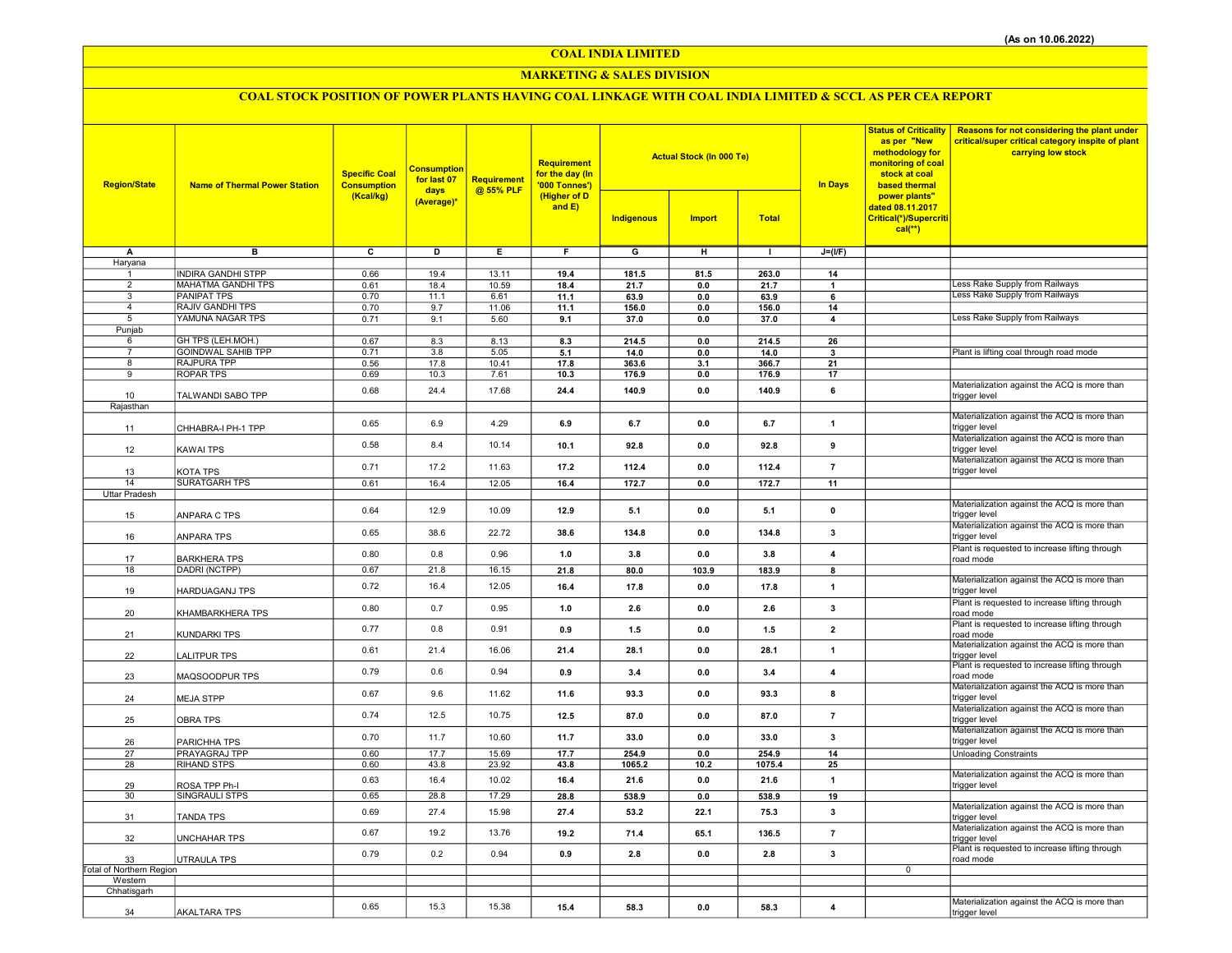COAL INDIA LIMITED

### MARKETING & SALES DIVISION

# COAL STOCK POSITION OF POWER PLANTS HAVING COAL LINKAGE WITH COAL INDIA LIMITED & SCCL AS PER CEA REPORT

| <b>Region/State</b>                 | <b>Name of Thermal Power Station</b> | <b>Specific Coal</b><br><b>Consumption</b><br>(Kcal/kg) | <b>Consumption</b><br>for last 07<br>days<br>(Average)* | Requirement<br>@ 55% PLF | <b>Requirement</b><br>for the day (In<br>'000 Tonnes')<br>(Higher of D<br>and $E$ ) |                         | <b>Actual Stock (In 000 Te)</b> |              | <b>In Days</b>          | <b>Status of Criticality</b><br>as per "New<br>methodology for<br>monitoring of coal<br>stock at coal<br>based thermal | <b>Reasons for not considering the plant under</b><br>critical/super critical category inspite of plant<br>carrying low stock |
|-------------------------------------|--------------------------------------|---------------------------------------------------------|---------------------------------------------------------|--------------------------|-------------------------------------------------------------------------------------|-------------------------|---------------------------------|--------------|-------------------------|------------------------------------------------------------------------------------------------------------------------|-------------------------------------------------------------------------------------------------------------------------------|
|                                     |                                      |                                                         |                                                         |                          |                                                                                     | Indigenous              | <b>Import</b>                   | <b>Total</b> |                         | power plants"<br>dated 08.11.2017<br>Critical(*)/Supercriti<br>$cal(**)$                                               |                                                                                                                               |
| A                                   | $\overline{B}$                       | $\overline{\mathbf{c}}$                                 | ъ                                                       | Έ                        | F                                                                                   | $\overline{\mathsf{G}}$ | $\overline{H}$                  | $\mathbf{L}$ | $J=(I/F)$               |                                                                                                                        |                                                                                                                               |
| Haryana<br>$\mathbf{1}$             | <b>INDIRA GANDHI STPP</b>            | 0.66                                                    | 19.4                                                    | 13.11                    | 19.4                                                                                | 181.5                   | 81.5                            | 263.0        | 14                      |                                                                                                                        |                                                                                                                               |
| $\overline{2}$                      | MAHATMA GANDHI TPS                   | 0.61                                                    | 18.4                                                    | 10.59                    | 18.4                                                                                | 21.7                    | 0.0                             | 21.7         | $\mathbf{1}$            |                                                                                                                        | ess Rake Supply from Railways                                                                                                 |
| 3                                   | <b>PANIPAT TPS</b>                   | 0.70                                                    | 11.1                                                    | 6.61                     | 11.1                                                                                | 63.9                    | 0.0                             | 63.9         | 6                       |                                                                                                                        | Less Rake Supply from Railways                                                                                                |
| $\overline{4}$                      | <b>RAJIV GANDHI TPS</b>              | 0.70                                                    | 9.7                                                     | 11.06                    | 11.1                                                                                | 156.0                   | $0.0\,$                         | 156.0        | 14                      |                                                                                                                        |                                                                                                                               |
| 5<br>Punjab                         | YAMUNA NAGAR TPS                     | 0.71                                                    | 9.1                                                     | 5.60                     | 9.1                                                                                 | 37.0                    | 0.0                             | 37.0         | 4                       |                                                                                                                        | Less Rake Supply from Railways                                                                                                |
| 6                                   | GH TPS (LEH.MOH.)                    | 0.67                                                    | 8.3                                                     | 8.13                     | 8.3                                                                                 | 214.5                   | 0.0                             | 214.5        | 26                      |                                                                                                                        |                                                                                                                               |
| $\overline{7}$                      | <b>GOINDWAL SAHIB TPP</b>            | 0.71                                                    | 3.8                                                     | 5.05                     | 5.1                                                                                 | 14.0                    | 0.0                             | 14.0         | $\mathbf{3}$            |                                                                                                                        | Plant is lifting coal through road mode                                                                                       |
| 8                                   | <b>RAJPURA TPP</b>                   | 0.56                                                    | 17.8                                                    | 10.41                    | 17.8                                                                                | 363.6                   | 3.1                             | 366.7        | 21                      |                                                                                                                        |                                                                                                                               |
| 9                                   | <b>ROPAR TPS</b>                     | 0.69                                                    | 10.3                                                    | 7.61                     | 10.3                                                                                | 176.9                   | 0.0                             | 176.9        | 17                      |                                                                                                                        | Materialization against the ACQ is more than                                                                                  |
| 10                                  | TALWANDI SABO TPP                    | 0.68                                                    | 24.4                                                    | 17.68                    | 24.4                                                                                | 140.9                   | 0.0                             | 140.9        | 6                       |                                                                                                                        | trigger level                                                                                                                 |
| Rajasthan                           |                                      |                                                         |                                                         |                          |                                                                                     |                         |                                 |              |                         |                                                                                                                        |                                                                                                                               |
| 11                                  | CHHABRA-I PH-1 TPP                   | 0.65                                                    | 6.9                                                     | 4.29                     | 6.9                                                                                 | 6.7                     | 0.0                             | 6.7          | $\mathbf{1}$            |                                                                                                                        | Materialization against the ACQ is more than<br>trigger level                                                                 |
|                                     |                                      |                                                         |                                                         |                          |                                                                                     |                         |                                 |              |                         |                                                                                                                        | Materialization against the ACQ is more than                                                                                  |
| 12                                  | KAWAI TPS                            | 0.58                                                    | 8.4                                                     | 10.14                    | 10.1                                                                                | 92.8                    | 0.0                             | 92.8         | 9                       |                                                                                                                        | trigger level                                                                                                                 |
| 13                                  | KOTA TPS                             | 0.71                                                    | 17.2                                                    | 11.63                    | 17.2                                                                                | 112.4                   | 0.0                             | 112.4        | $\overline{7}$          |                                                                                                                        | Materialization against the ACQ is more than<br>trigger level                                                                 |
| 14                                  | <b>SURATGARH TPS</b>                 | 0.61                                                    | 16.4                                                    | 12.05                    | 16.4                                                                                | 172.7                   | 0.0                             | 172.7        | 11                      |                                                                                                                        |                                                                                                                               |
| Uttar Pradesh                       |                                      |                                                         |                                                         |                          |                                                                                     |                         |                                 |              |                         |                                                                                                                        |                                                                                                                               |
| 15                                  | ANPARA C TPS                         | 0.64                                                    | 12.9                                                    | 10.09                    | 12.9                                                                                | 5.1                     | 0.0                             | 5.1          | $\pmb{0}$               |                                                                                                                        | Materialization against the ACQ is more than<br>trigger level                                                                 |
| 16                                  | ANPARA TPS                           | 0.65                                                    | 38.6                                                    | 22.72                    | 38.6                                                                                | 134.8                   | 0.0                             | 134.8        | 3                       |                                                                                                                        | Materialization against the ACQ is more than<br>trigger level                                                                 |
| 17                                  | <b>BARKHERA TPS</b>                  | 0.80                                                    | 0.8                                                     | 0.96                     | 1.0                                                                                 | 3.8                     | 0.0                             | 3.8          | $\overline{4}$          |                                                                                                                        | Plant is requested to increase lifting through<br>road mode                                                                   |
| 18                                  | DADRI (NCTPP)                        | 0.67                                                    | 21.8                                                    | 16.15                    | 21.8                                                                                | 80.0                    | 103.9                           | 183.9        | 8                       |                                                                                                                        |                                                                                                                               |
| 19                                  | HARDUAGANJ TPS                       | 0.72                                                    | 16.4                                                    | 12.05                    | 16.4                                                                                | 17.8                    | 0.0                             | 17.8         | $\mathbf{1}$            |                                                                                                                        | Materialization against the ACQ is more than<br>trigger level                                                                 |
| 20                                  | KHAMBARKHERA TPS                     | 0.80                                                    | 0.7                                                     | 0.95                     | 1.0                                                                                 | 2.6                     | 0.0                             | 2.6          | 3                       |                                                                                                                        | Plant is requested to increase lifting through<br>road mode                                                                   |
| 21                                  | KUNDARKI TPS                         | 0.77                                                    | 0.8                                                     | 0.91                     | 0.9                                                                                 | 1.5                     | 0.0                             | 1.5          | $\overline{2}$          |                                                                                                                        | Plant is requested to increase lifting through<br>road mode                                                                   |
| 22                                  | LALITPUR TPS                         | 0.61                                                    | 21.4                                                    | 16.06                    | 21.4                                                                                | 28.1                    | 0.0                             | 28.1         | $\mathbf{1}$            |                                                                                                                        | Materialization against the ACQ is more than<br>trigger level                                                                 |
| 23                                  | MAQSOODPUR TPS                       | 0.79                                                    | 0.6                                                     | 0.94                     | 0.9                                                                                 | 3.4                     | 0.0                             | 3.4          | $\overline{4}$          |                                                                                                                        | Plant is requested to increase lifting through<br>road mode                                                                   |
| 24                                  | <b>MEJA STPP</b>                     | 0.67                                                    | 9.6                                                     | 11.62                    | 11.6                                                                                | 93.3                    | 0.0                             | 93.3         | 8                       |                                                                                                                        | Materialization against the ACQ is more than<br>trigger level                                                                 |
| 25                                  | <b>OBRA TPS</b>                      | 0.74                                                    | 12.5                                                    | 10.75                    | 12.5                                                                                | 87.0                    | 0.0                             | 87.0         | $\overline{\mathbf{7}}$ |                                                                                                                        | Materialization against the ACQ is more than<br>trigger level                                                                 |
| 26                                  | PARICHHA TPS                         | 0.70                                                    | 11.7                                                    | 10.60                    | 11.7                                                                                | 33.0                    | 0.0                             | 33.0         | 3                       |                                                                                                                        | Materialization against the ACQ is more than<br>trigger level                                                                 |
| 27                                  | PRAYAGRAJ TPP                        | 0.60                                                    | 17.7                                                    | 15.69                    | 17.7                                                                                | 254.9                   | 0.0                             | 254.9        | 14                      |                                                                                                                        | <b>Unloading Constraints</b>                                                                                                  |
| 28                                  | <b>RIHAND STPS</b>                   | 0.60                                                    | 43.8                                                    | 23.92                    | 43.8                                                                                | 1065.2                  | 10.2                            | 1075.4       | 25                      |                                                                                                                        | Materialization against the ACQ is more than                                                                                  |
| 29                                  | ROSA TPP Ph-I                        | 0.63                                                    | 16.4                                                    | 10.02                    | 16.4                                                                                | 21.6                    | 0.0                             | 21.6         | $\mathbf{1}$            |                                                                                                                        | trigger level                                                                                                                 |
| 30                                  | SINGRAULI STPS                       | 0.65                                                    | 28.8                                                    | 17.29                    | 28.8                                                                                | 538.9                   | 0.0                             | 538.9        | 19                      |                                                                                                                        |                                                                                                                               |
| 31                                  | TANDA TPS                            | 0.69                                                    | 27.4                                                    | 15.98                    | 27.4                                                                                | 53.2                    | 22.1                            | 75.3         | 3                       |                                                                                                                        | Materialization against the ACQ is more than<br>trigger level                                                                 |
| 32                                  | UNCHAHAR TPS                         | 0.67                                                    | 19.2                                                    | 13.76                    | 19.2                                                                                | 71.4                    | 65.1                            | 136.5        | $\overline{7}$          |                                                                                                                        | Materialization against the ACQ is more than<br>trigger level                                                                 |
| 33                                  | UTRAULA TPS                          | 0.79                                                    | 0.2                                                     | 0.94                     | 0.9                                                                                 | 2.8                     | 0.0                             | 2.8          | 3                       |                                                                                                                        | Plant is requested to increase lifting through<br>road mode                                                                   |
| Total of Northern Region<br>Western |                                      |                                                         |                                                         |                          |                                                                                     |                         |                                 |              |                         | $\mathbf 0$                                                                                                            |                                                                                                                               |
| Chhatisgarh                         |                                      |                                                         |                                                         |                          |                                                                                     |                         |                                 |              |                         |                                                                                                                        |                                                                                                                               |
|                                     |                                      | 0.65                                                    | 15.3                                                    | 15.38                    | 15.4                                                                                | 58.3                    | 0.0                             | 58.3         | $\overline{4}$          |                                                                                                                        | Materialization against the ACQ is more than                                                                                  |
| 34                                  | <b>AKALTARA TPS</b>                  |                                                         |                                                         |                          |                                                                                     |                         |                                 |              |                         |                                                                                                                        | trigger level                                                                                                                 |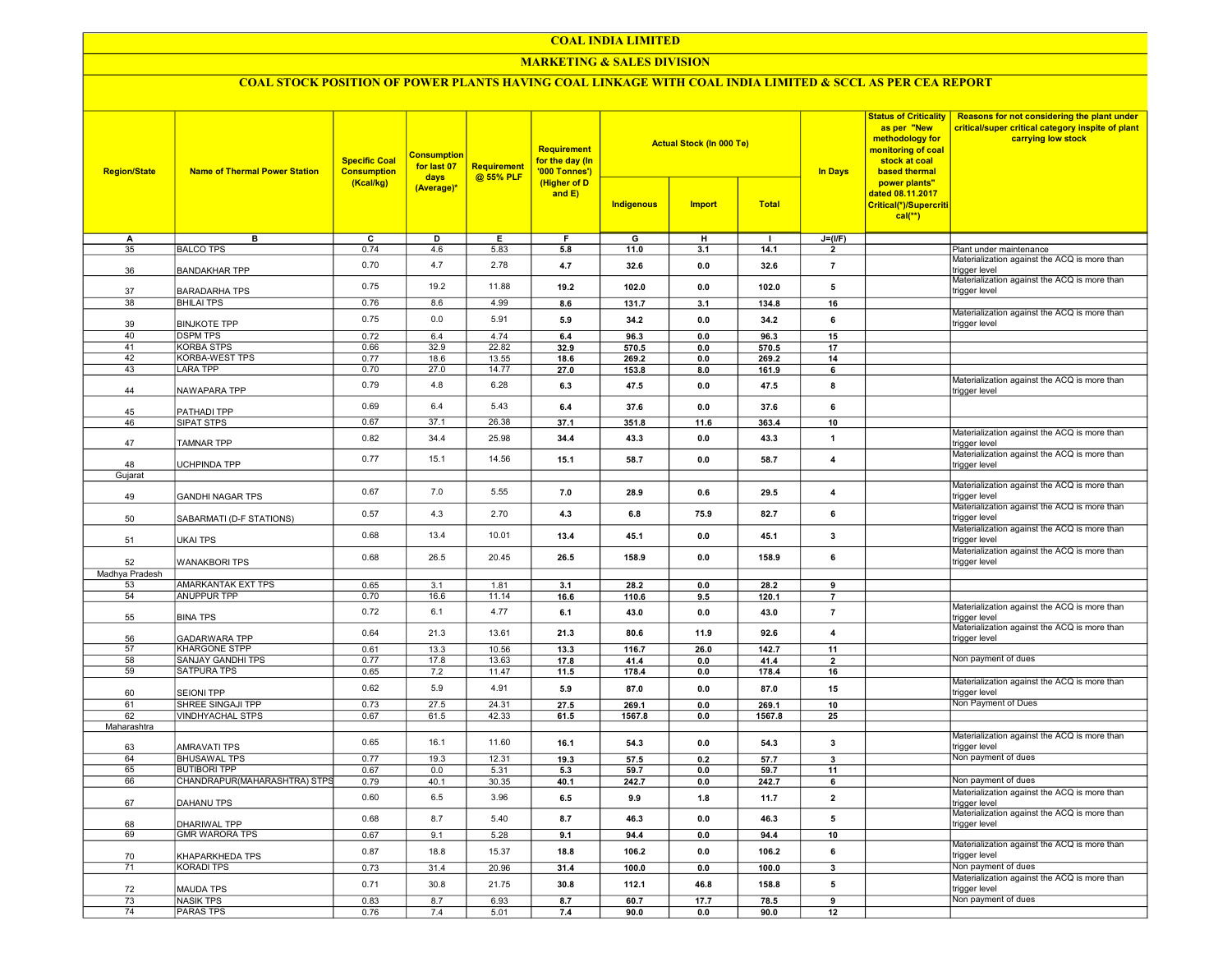### COAL INDIA LIMITED

### MARKETING & SALES DIVISION

## COAL STOCK POSITION OF POWER PLANTS HAVING COAL LINKAGE WITH COAL INDIA LIMITED & SCCL AS PER CEA REPORT

| <b>Region/State</b>  | <b>Name of Thermal Power Station</b>   | <b>Specific Coal</b><br><b>Consumption</b><br>(Kcal/kg) | <b>Consumption</b><br>for last 07<br>days<br>(Average)* | <b>Requirement</b><br>@ 55% PLF | Requirement<br>for the day (In<br>'000 Tonnes')<br>(Higher of D<br>and $E$ ) |                | <b>Actual Stock (In 000 Te)</b> |              | <b>Status of Criticality</b><br>as per "New<br>methodology for<br>monitoring of coal<br>stock at coal<br><b>In Days</b><br>based thermal | Reasons for not considering the plant under<br>critical/super critical category inspite of plant<br>carrying low stock |                                                                                                               |
|----------------------|----------------------------------------|---------------------------------------------------------|---------------------------------------------------------|---------------------------------|------------------------------------------------------------------------------|----------------|---------------------------------|--------------|------------------------------------------------------------------------------------------------------------------------------------------|------------------------------------------------------------------------------------------------------------------------|---------------------------------------------------------------------------------------------------------------|
|                      |                                        |                                                         |                                                         |                                 |                                                                              | Indigenous     | <b>Import</b>                   | <b>Total</b> |                                                                                                                                          | power plants"<br>dated 08.11.2017<br>Critical(*)/Supercriti<br>$cal(**)$                                               |                                                                                                               |
| А                    | в                                      | $\overline{c}$                                          | D                                                       | E                               | F                                                                            | $\overline{G}$ | $\overline{H}$                  | $\mathbf{I}$ | $J=(I/F)$                                                                                                                                |                                                                                                                        |                                                                                                               |
| 35                   | <b>BALCO TPS</b>                       | 0.74                                                    | 4.6                                                     | 5.83                            | 5.8                                                                          | 11.0           | 3.1                             | 14.1         | $\overline{2}$                                                                                                                           |                                                                                                                        | Plant under maintenance                                                                                       |
| 36                   | <b>BANDAKHAR TPP</b>                   | 0.70                                                    | 4.7                                                     | 2.78                            | 4.7                                                                          | 32.6           | 0.0                             | 32.6         | $\overline{7}$                                                                                                                           |                                                                                                                        | Materialization against the ACQ is more than<br>trigger level<br>Materialization against the ACQ is more than |
| 37                   | <b>BARADARHA TPS</b>                   | 0.75                                                    | 19.2                                                    | 11.88                           | 19.2                                                                         | 102.0          | 0.0                             | 102.0        | 5                                                                                                                                        |                                                                                                                        | trigger level                                                                                                 |
| 38                   | <b>BHILAI TPS</b>                      | 0.76                                                    | 8.6                                                     | 4.99                            | 8.6                                                                          | 131.7          | 3.1                             | 134.8        | 16                                                                                                                                       |                                                                                                                        | Materialization against the ACQ is more than                                                                  |
| 39<br>40             | <b>BINJKOTE TPP</b><br><b>DSPM TPS</b> | 0.75<br>0.72                                            | 0.0<br>6.4                                              | 5.91<br>4.74                    | 5.9<br>6.4                                                                   | 34.2<br>96.3   | 0.0<br>0.0                      | 34.2<br>96.3 | 6<br>15                                                                                                                                  |                                                                                                                        | trigger level                                                                                                 |
| 41                   | <b>KORBA STPS</b>                      | 0.66                                                    | 32.9                                                    | 22.82                           | 32.9                                                                         | 570.5          | 0.0                             | 570.5        | 17                                                                                                                                       |                                                                                                                        |                                                                                                               |
| 42                   | <b>KORBA-WEST TPS</b>                  | 0.77                                                    | 18.6                                                    | 13.55                           | 18.6                                                                         | 269.2          | 0.0                             | 269.2        | 14                                                                                                                                       |                                                                                                                        |                                                                                                               |
| 43                   | <b>LARA TPP</b>                        | 0.70                                                    | 27.0                                                    | 14.77                           | 27.0                                                                         | 153.8          | 8.0                             | 161.9        | 6                                                                                                                                        |                                                                                                                        |                                                                                                               |
| 44                   | NAWAPARA TPP                           | 0.79                                                    | 4.8                                                     | 6.28                            | 6.3                                                                          | 47.5           | 0.0                             | 47.5         | 8                                                                                                                                        |                                                                                                                        | Materialization against the ACQ is more than<br>trigger level                                                 |
| 45                   | PATHADI TPP                            | 0.69                                                    | 6.4                                                     | 5.43                            | 6.4                                                                          | 37.6           | 0.0                             | 37.6         | 6                                                                                                                                        |                                                                                                                        |                                                                                                               |
| 46                   | <b>SIPAT STPS</b>                      | 0.67                                                    | 37.1                                                    | 26.38                           | 37.1                                                                         | 351.8          | 11.6                            | 363.4        | 10                                                                                                                                       |                                                                                                                        |                                                                                                               |
| 47                   | <b>TAMNAR TPP</b>                      | 0.82                                                    | 34.4                                                    | 25.98                           | 34.4                                                                         | 43.3           | 0.0                             | 43.3         | $\mathbf{1}$                                                                                                                             |                                                                                                                        | Materialization against the ACQ is more than<br>trigger level                                                 |
|                      |                                        | 0.77                                                    | 15.1                                                    | 14.56                           | 15.1                                                                         | 58.7           | 0.0                             | 58.7         | $\overline{\mathbf{4}}$                                                                                                                  |                                                                                                                        | Materialization against the ACQ is more than                                                                  |
| 48<br>Gujarat        | UCHPINDA TPP                           |                                                         |                                                         |                                 |                                                                              |                |                                 |              |                                                                                                                                          |                                                                                                                        | trigger level                                                                                                 |
|                      |                                        |                                                         |                                                         |                                 |                                                                              |                |                                 |              |                                                                                                                                          |                                                                                                                        | Materialization against the ACQ is more than                                                                  |
| 49                   | <b>GANDHI NAGAR TPS</b>                | 0.67                                                    | 7.0                                                     | 5.55                            | 7.0                                                                          | 28.9           | 0.6                             | 29.5         | $\boldsymbol{4}$                                                                                                                         |                                                                                                                        | trigger level<br>Materialization against the ACQ is more than                                                 |
| 50                   | SABARMATI (D-F STATIONS)               | 0.57                                                    | 4.3                                                     | 2.70                            | 4.3                                                                          | 6.8            | 75.9                            | 82.7         | 6                                                                                                                                        |                                                                                                                        | trigger level<br>Materialization against the ACQ is more than                                                 |
| 51                   | <b>UKAI TPS</b>                        | 0.68                                                    | 13.4                                                    | 10.01                           | 13.4                                                                         | 45.1           | 0.0                             | 45.1         | 3                                                                                                                                        |                                                                                                                        | trigger level<br>Materialization against the ACQ is more than                                                 |
| 52<br>Madhya Pradesh | <b>WANAKBORI TPS</b>                   | 0.68                                                    | 26.5                                                    | 20.45                           | 26.5                                                                         | 158.9          | 0.0                             | 158.9        | 6                                                                                                                                        |                                                                                                                        | trigger level                                                                                                 |
| 53                   | AMARKANTAK EXT TPS                     | 0.65                                                    | 3.1                                                     | 1.81                            | 3.1                                                                          | 28.2           | 0.0                             | 28.2         | 9                                                                                                                                        |                                                                                                                        |                                                                                                               |
| 54                   | ANUPPUR TPP                            | 0.70                                                    | 16.6                                                    | 11.14                           | 16.6                                                                         | 110.6          | 9.5                             | 120.1        | $\overline{7}$                                                                                                                           |                                                                                                                        |                                                                                                               |
| 55                   | <b>BINA TPS</b>                        | 0.72                                                    | 6.1                                                     | 4.77                            | 6.1                                                                          | 43.0           | 0.0                             | 43.0         | $\overline{7}$                                                                                                                           |                                                                                                                        | Materialization against the ACQ is more than<br>trigger level                                                 |
| 56                   | <b>GADARWARA TPP</b>                   | 0.64                                                    | 21.3                                                    | 13.61                           | 21.3                                                                         | 80.6           | 11.9                            | 92.6         | $\overline{\mathbf{4}}$                                                                                                                  |                                                                                                                        | Materialization against the ACQ is more than<br>trigger level                                                 |
| 57                   | <b>KHARGONE STPP</b>                   | 0.61                                                    | 13.3                                                    | 10.56                           | 13.3                                                                         | 116.7          | 26.0                            | 142.7        | 11                                                                                                                                       |                                                                                                                        |                                                                                                               |
| 58                   | SANJAY GANDHI TPS                      | 0.77                                                    | 17.8                                                    | 13.63                           | 17.8                                                                         | 41.4           | 0.0                             | 41.4         | $\overline{2}$                                                                                                                           |                                                                                                                        | Non payment of dues                                                                                           |
| 59                   | <b>SATPURA TPS</b>                     | 0.65                                                    | 7.2                                                     | 11.47                           | 11.5                                                                         | 178.4          | 0.0                             | 178.4        | 16                                                                                                                                       |                                                                                                                        |                                                                                                               |
| 60                   | <b>SEIONI TPP</b>                      | 0.62                                                    | 5.9                                                     | 4.91                            | 5.9                                                                          | 87.0           | 0.0                             | 87.0         | 15                                                                                                                                       |                                                                                                                        | Materialization against the ACQ is more than<br>trigger level                                                 |
| 61                   | SHREE SINGAJI TPP                      | 0.73                                                    | 27.5                                                    | 24.31                           | 27.5                                                                         | 269.1          | 0.0                             | 269.1        | 10                                                                                                                                       |                                                                                                                        | Non Payment of Dues                                                                                           |
| 62                   | <b>VINDHYACHAL STPS</b>                | 0.67                                                    | 61.5                                                    | 42.33                           | 61.5                                                                         | 1567.8         | 0.0                             | 1567.8       | 25                                                                                                                                       |                                                                                                                        |                                                                                                               |
| Maharashtra          | <b>AMRAVATI TPS</b>                    | 0.65                                                    | 16.1                                                    | 11.60                           | 16.1                                                                         | 54.3           | 0.0                             | 54.3         | $\mathbf{3}$                                                                                                                             |                                                                                                                        | Materialization against the ACQ is more than<br>trigger level                                                 |
| 63<br>64             | <b>BHUSAWAL TPS</b>                    | 0.77                                                    | 19.3                                                    | 12.31                           | 19.3                                                                         | 57.5           | 0.2                             | 57.7         | $\overline{\mathbf{3}}$                                                                                                                  |                                                                                                                        | Non payment of dues                                                                                           |
| 65                   | <b>BUTIBORI TPP</b>                    | 0.67                                                    | 0.0                                                     | 5.31                            | 5.3                                                                          | 59.7           | 0.0                             | 59.7         | 11                                                                                                                                       |                                                                                                                        |                                                                                                               |
| 66                   | CHANDRAPUR(MAHARASHTRA) STPS           | 0.79                                                    | 40.1                                                    | 30.35                           | 40.1                                                                         | 242.7          | 0.0                             | 242.7        | 6                                                                                                                                        |                                                                                                                        | Non payment of dues                                                                                           |
| 67                   | DAHANU TPS                             | 0.60                                                    | 6.5                                                     | 3.96                            | 6.5                                                                          | 9.9            | 1.8                             | 11.7         | $\overline{\mathbf{2}}$                                                                                                                  |                                                                                                                        | Materialization against the ACQ is more than<br>trigger level                                                 |
| 68                   | DHARIWAL TPP                           | 0.68                                                    | 8.7                                                     | 5.40                            | 8.7                                                                          | 46.3           | 0.0                             | 46.3         | 5                                                                                                                                        |                                                                                                                        | Materialization against the ACQ is more than<br>trigger level                                                 |
| 69                   | <b>GMR WARORA TPS</b>                  | 0.67                                                    | 9.1                                                     | 5.28                            | 9.1                                                                          | 94.4           | 0.0                             | 94.4         | 10                                                                                                                                       |                                                                                                                        |                                                                                                               |
| 70                   | KHAPARKHEDA TPS                        | 0.87                                                    | 18.8                                                    | 15.37                           | 18.8                                                                         | 106.2          | 0.0                             | 106.2        | 6                                                                                                                                        |                                                                                                                        | Materialization against the ACQ is more than<br>trigger level                                                 |
| 71                   | <b>KORADI TPS</b>                      | 0.73                                                    | 31.4                                                    | 20.96                           | 31.4                                                                         | 100.0          | 0.0                             | 100.0        | $\overline{\mathbf{3}}$                                                                                                                  |                                                                                                                        | Non payment of dues                                                                                           |
| 72                   | <b>MAUDA TPS</b>                       | 0.71                                                    | 30.8                                                    | 21.75                           | 30.8                                                                         | 112.1          | 46.8                            | 158.8        | 5                                                                                                                                        |                                                                                                                        | Materialization against the ACQ is more than<br>trigger level                                                 |
| 73                   | <b>NASIK TPS</b>                       | 0.83                                                    | 8.7                                                     | 6.93                            | 8.7                                                                          | 60.7           | 17.7                            | 78.5         | $\overline{9}$                                                                                                                           |                                                                                                                        | Non payment of dues                                                                                           |
| 74                   | <b>PARAS TPS</b>                       | 0.76                                                    | 7.4                                                     | 5.01                            | 7.4                                                                          | 90.0           | 0.0                             | 90.0         | 12                                                                                                                                       |                                                                                                                        |                                                                                                               |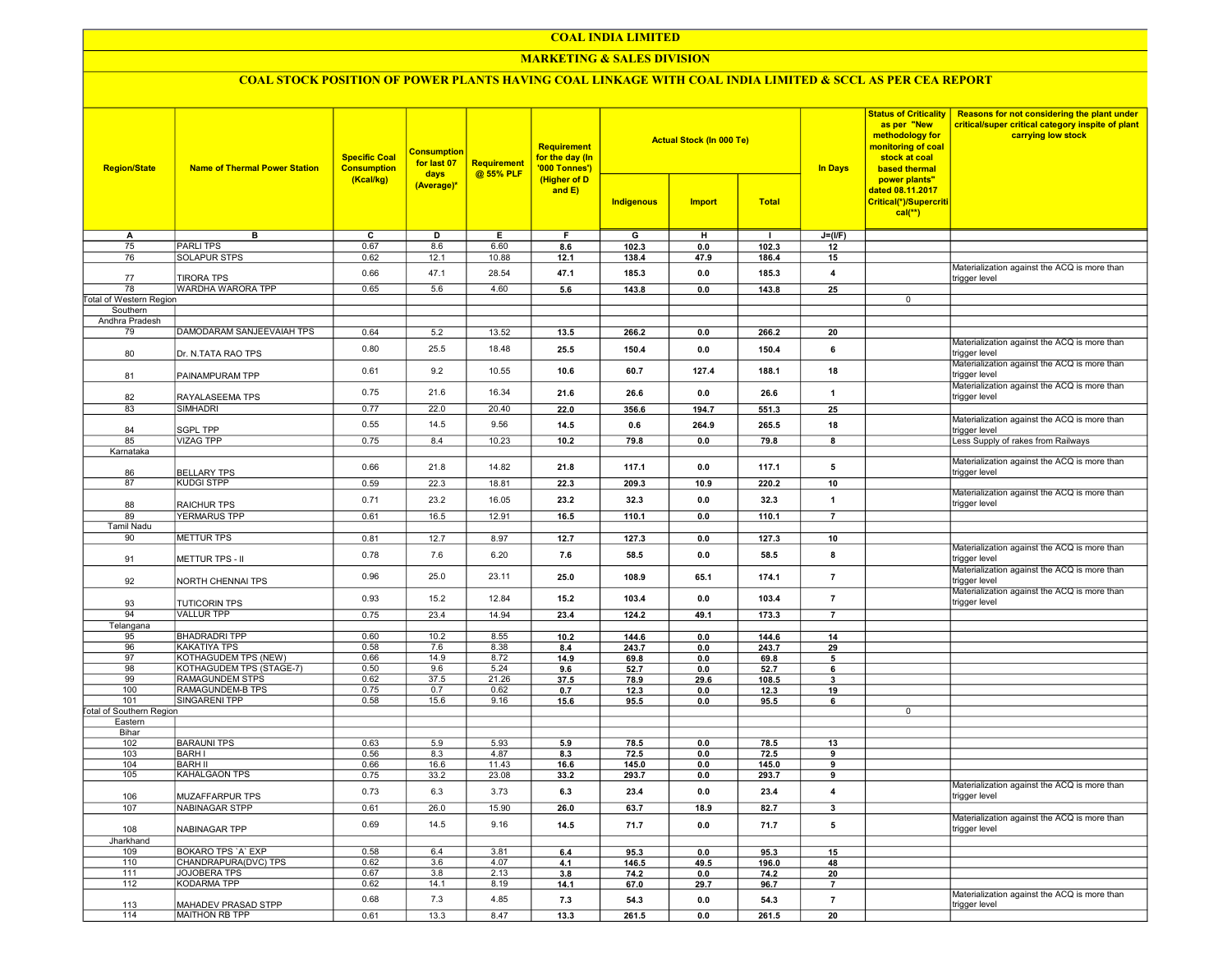### COAL INDIA LIMITED

### **MARKETING & SALES DIVISION**

# COAL STOCK POSITION OF POWER PLANTS HAVING COAL LINKAGE WITH COAL INDIA LIMITED & SCCL AS PER CEA REPORT

| <b>Region/State</b>             | <b>Name of Thermal Power Station</b> | <b>Specific Coal</b><br><b>Consumption</b> | <b>Consumption</b><br>for last 07<br>days<br>(Average)* | <b>Requirement</b><br>@ 55% PLF | <b>Requirement</b><br>for the day (In<br>'000 Tonnes')<br>(Higher of D<br>and $E$ ) |            | <b>Actual Stock (In 000 Te)</b> |              | <b>Status of Criticality</b><br>as per "New<br>methodology for<br>monitoring of coal<br>stock at coal<br><b>In Days</b><br>based thermal | Reasons for not considering the plant under<br>critical/super critical category inspite of plant<br>carrying low stock |                                                               |
|---------------------------------|--------------------------------------|--------------------------------------------|---------------------------------------------------------|---------------------------------|-------------------------------------------------------------------------------------|------------|---------------------------------|--------------|------------------------------------------------------------------------------------------------------------------------------------------|------------------------------------------------------------------------------------------------------------------------|---------------------------------------------------------------|
|                                 |                                      | (Kcal/kg)                                  |                                                         |                                 |                                                                                     | Indigenous | <b>Import</b>                   | <b>Total</b> |                                                                                                                                          | power plants"<br>dated 08.11.2017<br>Critical(*)/Supercriti<br>$cal(**)$                                               |                                                               |
| A                               | в                                    | C                                          | D                                                       | Е.                              | F.                                                                                  | G          | н                               | п.           | $J=(I/F)$                                                                                                                                |                                                                                                                        |                                                               |
| 75                              | <b>PARLITPS</b>                      | 0.67                                       | 8.6                                                     | 6.60                            | 8.6                                                                                 | 102.3      | 0.0                             | 102.3        | 12                                                                                                                                       |                                                                                                                        |                                                               |
| 76                              | <b>SOLAPUR STPS</b>                  | 0.62                                       | 12.1                                                    | 10.88                           | 12.1                                                                                | 138.4      | 47.9                            | 186.4        | 15                                                                                                                                       |                                                                                                                        |                                                               |
| 77                              | <b>TIRORA TPS</b>                    | 0.66                                       | 47.1                                                    | 28.54                           | 47.1                                                                                | 185.3      | 0.0                             | 185.3        | 4                                                                                                                                        |                                                                                                                        | Materialization against the ACQ is more than<br>trigger level |
| 78                              | WARDHA WARORA TPP                    | 0.65                                       | 5.6                                                     | 4.60                            | 5.6                                                                                 | 143.8      | 0.0                             | 143.8        | 25                                                                                                                                       |                                                                                                                        |                                                               |
| Total of Western Region         |                                      |                                            |                                                         |                                 |                                                                                     |            |                                 |              |                                                                                                                                          | 0                                                                                                                      |                                                               |
| Southern                        |                                      |                                            |                                                         |                                 |                                                                                     |            |                                 |              |                                                                                                                                          |                                                                                                                        |                                                               |
| Andhra Pradesh                  |                                      |                                            |                                                         |                                 |                                                                                     |            |                                 |              |                                                                                                                                          |                                                                                                                        |                                                               |
| 79                              | DAMODARAM SANJEEVAIAH TPS            | 0.64                                       | 5.2                                                     | 13.52                           | 13.5                                                                                | 266.2      | 0.0                             | 266.2        | 20                                                                                                                                       |                                                                                                                        |                                                               |
|                                 |                                      |                                            |                                                         |                                 |                                                                                     |            |                                 |              |                                                                                                                                          |                                                                                                                        | Materialization against the ACQ is more than                  |
| 80                              | Dr. N.TATA RAO TPS                   | 0.80                                       | 25.5                                                    | 18.48                           | 25.5                                                                                | 150.4      | 0.0                             | 150.4        | 6                                                                                                                                        |                                                                                                                        | trigger level                                                 |
| 81                              | PAINAMPURAM TPP                      | 0.61                                       | 9.2                                                     | 10.55                           | 10.6                                                                                | 60.7       | 127.4                           | 188.1        | 18                                                                                                                                       |                                                                                                                        | Materialization against the ACQ is more than<br>trigger level |
| 82                              | RAYALASEEMA TPS                      | 0.75                                       | 21.6                                                    | 16.34                           | 21.6                                                                                | 26.6       | 0.0                             | 26.6         | $\overline{\mathbf{1}}$                                                                                                                  |                                                                                                                        | Materialization against the ACQ is more than<br>trigger level |
| 83                              | <b>SIMHADRI</b>                      | 0.77                                       | 22.0                                                    | 20.40                           | 22.0                                                                                | 356.6      | 194.7                           | 551.3        | 25                                                                                                                                       |                                                                                                                        |                                                               |
|                                 |                                      | 0.55                                       | 14.5                                                    | 9.56                            | 14.5                                                                                | 0.6        | 264.9                           | 265.5        | 18                                                                                                                                       |                                                                                                                        | Materialization against the ACQ is more than                  |
| 84<br>85                        | <b>SGPL TPP</b><br><b>VIZAG TPP</b>  | 0.75                                       | 8.4                                                     | 10.23                           | 10.2                                                                                | 79.8       | 0.0                             | 79.8         | 8                                                                                                                                        |                                                                                                                        | trigger level<br>Less Supply of rakes from Railways           |
| Karnataka                       |                                      |                                            |                                                         |                                 |                                                                                     |            |                                 |              |                                                                                                                                          |                                                                                                                        |                                                               |
| 86                              | <b>BELLARY TPS</b>                   | 0.66                                       | 21.8                                                    | 14.82                           | 21.8                                                                                | 117.1      | 0.0                             | 117.1        | 5                                                                                                                                        |                                                                                                                        | Materialization against the ACQ is more than                  |
| 87                              | <b>KUDGI STPP</b>                    | 0.59                                       | 22.3                                                    | 18.81                           | 22.3                                                                                | 209.3      | 10.9                            | 220.2        | 10                                                                                                                                       |                                                                                                                        | trigger level                                                 |
|                                 |                                      |                                            |                                                         |                                 |                                                                                     |            |                                 |              |                                                                                                                                          |                                                                                                                        | Materialization against the ACQ is more than                  |
| 88                              | <b>RAICHUR TPS</b>                   | 0.71                                       | 23.2                                                    | 16.05                           | 23.2                                                                                | 32.3       | 0.0                             | 32.3         | $\overline{1}$                                                                                                                           |                                                                                                                        | trigger level                                                 |
| 89                              | <b>YERMARUS TPP</b>                  | 0.61                                       | 16.5                                                    | 12.91                           | 16.5                                                                                | 110.1      | 0.0                             | 110.1        | $\overline{7}$                                                                                                                           |                                                                                                                        |                                                               |
| <b>Tamil Nadu</b>               |                                      |                                            |                                                         |                                 |                                                                                     |            |                                 |              |                                                                                                                                          |                                                                                                                        |                                                               |
| 90                              | <b>METTUR TPS</b>                    | 0.81                                       | 12.7                                                    | 8.97                            | 12.7                                                                                | 127.3      | 0.0                             | 127.3        | 10                                                                                                                                       |                                                                                                                        |                                                               |
| 91                              | <b>METTUR TPS - II</b>               | 0.78                                       | 7.6                                                     | 6.20                            | 7.6                                                                                 | 58.5       | 0.0                             | 58.5         | 8                                                                                                                                        |                                                                                                                        | Materialization against the ACQ is more than<br>trigger level |
| 92                              | NORTH CHENNAI TPS                    | 0.96                                       | 25.0                                                    | 23.11                           | 25.0                                                                                | 108.9      | 65.1                            | 174.1        | $\overline{7}$                                                                                                                           |                                                                                                                        | Materialization against the ACQ is more than<br>trigger level |
| 93                              | <b>TUTICORIN TPS</b>                 | 0.93                                       | 15.2                                                    | 12.84                           | 15.2                                                                                | 103.4      | 0.0                             | 103.4        | $\overline{7}$                                                                                                                           |                                                                                                                        | Materialization against the ACQ is more than<br>trigger level |
| 94                              | <b>VALLUR TPP</b>                    | 0.75                                       | 23.4                                                    | 14.94                           | 23.4                                                                                | 124.2      | 49.1                            | 173.3        | $\overline{7}$                                                                                                                           |                                                                                                                        |                                                               |
| Telangana                       |                                      |                                            |                                                         |                                 |                                                                                     |            |                                 |              |                                                                                                                                          |                                                                                                                        |                                                               |
| 95                              | <b>BHADRADRI TPP</b>                 | 0.60                                       | 10.2                                                    | 8.55                            | 10.2                                                                                | 144.6      | 0.0                             | 144.6        | 14                                                                                                                                       |                                                                                                                        |                                                               |
| 96                              | <b>KAKATIYA TPS</b>                  | 0.58                                       | 7.6                                                     | 8.38                            | 8.4                                                                                 | 243.7      | 0.0                             | 243.7        | 29                                                                                                                                       |                                                                                                                        |                                                               |
| 97                              | KOTHAGUDEM TPS (NEW)                 | 0.66                                       | 14.9                                                    | 8.72                            | 14.9                                                                                | 69.8       | 0.0                             | 69.8         | 5                                                                                                                                        |                                                                                                                        |                                                               |
| 98                              | KOTHAGUDEM TPS (STAGE-7)             | 0.50                                       | 9.6                                                     | 5.24                            | 9.6                                                                                 | 52.7       | 0.0                             | 52.7         | 6                                                                                                                                        |                                                                                                                        |                                                               |
| 99                              | RAMAGUNDEM STPS                      | 0.62                                       | 37.5                                                    | 21.26                           | 37.5                                                                                | 78.9       | 29.6                            | 108.5        | 3                                                                                                                                        |                                                                                                                        |                                                               |
| 100                             | RAMAGUNDEM-B TPS                     | 0.75                                       | 0.7                                                     | 0.62                            | 0.7                                                                                 | 12.3       | 0.0                             | 12.3         | 19                                                                                                                                       |                                                                                                                        |                                                               |
| 101                             | SINGARENI TPP                        | 0.58                                       | 15.6                                                    | 9.16                            | 15.6                                                                                | 95.5       | 0.0                             | 95.5         | 6                                                                                                                                        |                                                                                                                        |                                                               |
| <b>Total of Southern Region</b> |                                      |                                            |                                                         |                                 |                                                                                     |            |                                 |              |                                                                                                                                          | 0                                                                                                                      |                                                               |
| Eastern                         |                                      |                                            |                                                         |                                 |                                                                                     |            |                                 |              |                                                                                                                                          |                                                                                                                        |                                                               |
| Bihar                           |                                      |                                            |                                                         |                                 |                                                                                     |            |                                 |              |                                                                                                                                          |                                                                                                                        |                                                               |
| 102                             | <b>BARAUNI TPS</b>                   | 0.63                                       | 5.9                                                     | 5.93                            | 5.9                                                                                 | 78.5       | 0.0                             | 78.5         | 13                                                                                                                                       |                                                                                                                        |                                                               |
| 103                             | <b>BARH I</b>                        | 0.56                                       | 8.3                                                     | 4.87                            | 8.3                                                                                 | 72.5       | 0.0                             | 72.5         | 9                                                                                                                                        |                                                                                                                        |                                                               |
| 104<br>105                      | <b>BARH II</b><br>KAHALGAON TPS      | 0.66                                       | 16.6                                                    | 11.43                           | 16.6                                                                                | 145.0      | 0.0                             | 145.0        | 9                                                                                                                                        |                                                                                                                        |                                                               |
|                                 |                                      | 0.75                                       | 33.2                                                    | 23.08                           | 33.2                                                                                | 293.7      | 0.0                             | 293.7        | 9                                                                                                                                        |                                                                                                                        | Materialization against the ACQ is more than                  |
| 106                             | <b>MUZAFFARPUR TPS</b>               | 0.73                                       | 6.3                                                     | 3.73                            | 6.3                                                                                 | 23.4       | 0.0                             | 23.4         | 4                                                                                                                                        |                                                                                                                        | trigger level                                                 |
| 107                             | NABINAGAR STPP                       | 0.61                                       | 26.0                                                    | 15.90                           | 26.0                                                                                | 63.7       | 18.9                            | 82.7         | 3                                                                                                                                        |                                                                                                                        |                                                               |
| 108                             | NABINAGAR TPP                        | 0.69                                       | 14.5                                                    | 9.16                            | 14.5                                                                                | 71.7       | 0.0                             | 71.7         | 5                                                                                                                                        |                                                                                                                        | Materialization against the ACQ is more than<br>trigger level |
| Jharkhand                       |                                      |                                            |                                                         |                                 |                                                                                     |            |                                 |              |                                                                                                                                          |                                                                                                                        |                                                               |
| 109                             | BOKARO TPS 'A' EXP                   | 0.58                                       | 6.4                                                     | 3.81                            | 6.4                                                                                 | 95.3       | 0.0                             | 95.3         | 15                                                                                                                                       |                                                                                                                        |                                                               |
| 110                             | CHANDRAPURA(DVC) TPS                 | 0.62                                       | 3.6                                                     | 4.07                            | 4.1                                                                                 | 146.5      | 49.5                            | 196.0        | 48                                                                                                                                       |                                                                                                                        |                                                               |
| 111                             | JOJOBERA TPS                         | 0.67                                       | 3.8                                                     | 2.13                            | 3.8                                                                                 | 74.2       | 0.0                             | 74.2         | 20                                                                                                                                       |                                                                                                                        |                                                               |
| 112                             | <b>KODARMA TPP</b>                   | 0.62                                       | 14.1                                                    | 8.19                            | 14.1                                                                                | 67.0       | 29.7                            | 96.7         | $\overline{7}$                                                                                                                           |                                                                                                                        |                                                               |
| 113                             | MAHADEV PRASAD STPP                  | 0.68                                       | 7.3                                                     | 4.85                            | 7.3                                                                                 | 54.3       | 0.0                             | 54.3         | $\overline{7}$                                                                                                                           |                                                                                                                        | Materialization against the ACQ is more than<br>trigger level |
| 114                             | <b>MAITHON RB TPP</b>                | 0.61                                       | 13.3                                                    | 8.47                            | 13.3                                                                                | 261.5      | 0.0                             | 261.5        | 20                                                                                                                                       |                                                                                                                        |                                                               |